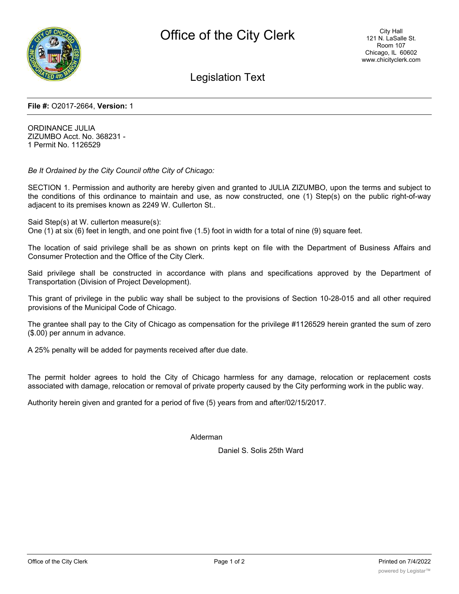

Legislation Text

#### **File #:** O2017-2664, **Version:** 1

ORDINANCE JULIA ZIZUMBO Acct. No. 368231 - 1 Permit No. 1126529

*Be It Ordained by the City Council ofthe City of Chicago:*

SECTION 1. Permission and authority are hereby given and granted to JULIA ZIZUMBO, upon the terms and subject to the conditions of this ordinance to maintain and use, as now constructed, one (1) Step(s) on the public right-of-way adjacent to its premises known as 2249 W. Cullerton St..

Said Step(s) at W. cullerton measure(s):

One (1) at six (6) feet in length, and one point five (1.5) foot in width for a total of nine (9) square feet.

The location of said privilege shall be as shown on prints kept on file with the Department of Business Affairs and Consumer Protection and the Office of the City Clerk.

Said privilege shall be constructed in accordance with plans and specifications approved by the Department of Transportation (Division of Project Development).

This grant of privilege in the public way shall be subject to the provisions of Section 10-28-015 and all other required provisions of the Municipal Code of Chicago.

The grantee shall pay to the City of Chicago as compensation for the privilege #1126529 herein granted the sum of zero (\$.00) per annum in advance.

A 25% penalty will be added for payments received after due date.

The permit holder agrees to hold the City of Chicago harmless for any damage, relocation or replacement costs associated with damage, relocation or removal of private property caused by the City performing work in the public way.

Authority herein given and granted for a period of five (5) years from and after/02/15/2017.

Alderman

Daniel S. Solis 25th Ward